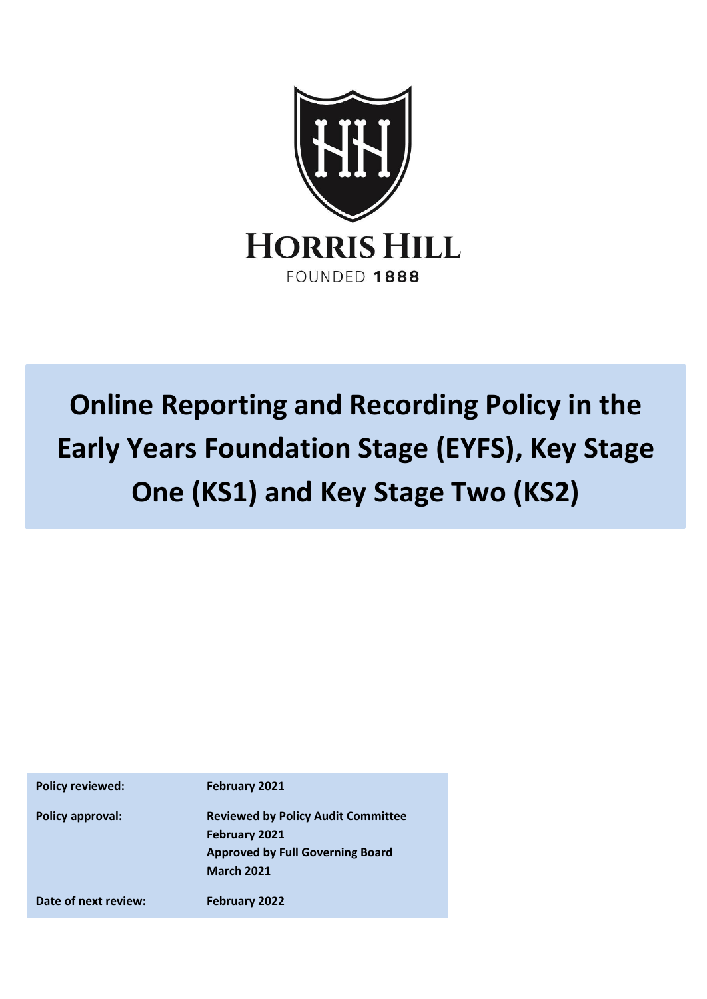

# **Online Reporting and Recording Policy in the Early Years Foundation Stage (EYFS), Key Stage One (KS1) and Key Stage Two (KS2)**

| <b>Policy reviewed:</b> | February 2021                             |
|-------------------------|-------------------------------------------|
| <b>Policy approval:</b> | <b>Reviewed by Policy Audit Committee</b> |
|                         | February 2021                             |
|                         | <b>Approved by Full Governing Board</b>   |
|                         | <b>March 2021</b>                         |
| Date of next review:    | February 2022                             |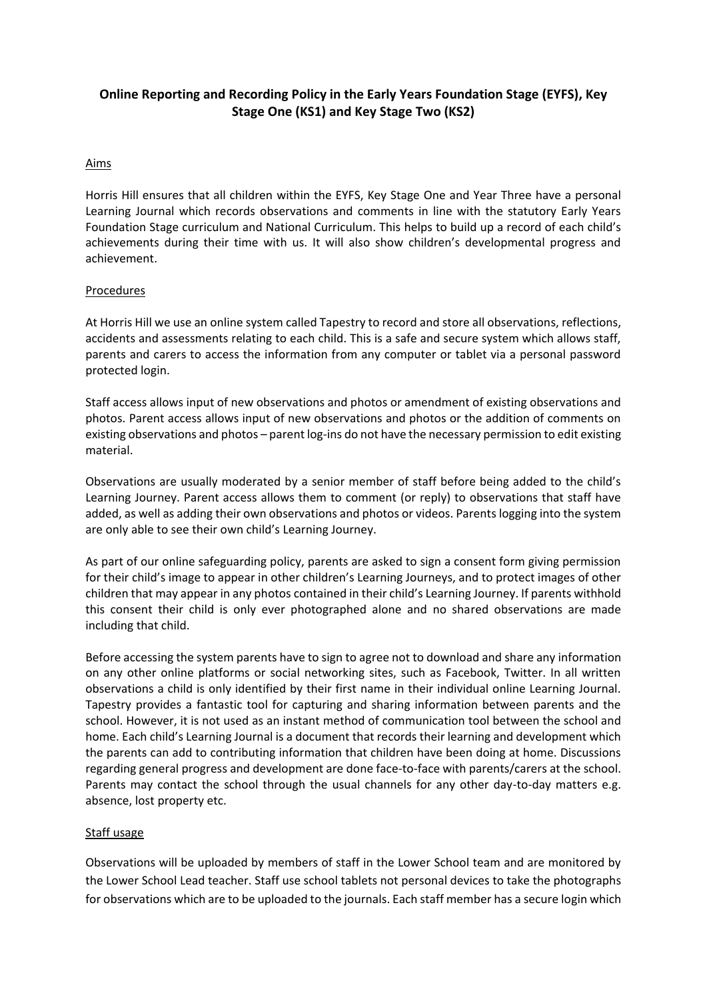# **Online Reporting and Recording Policy in the Early Years Foundation Stage (EYFS), Key Stage One (KS1) and Key Stage Two (KS2)**

## Aims

Horris Hill ensures that all children within the EYFS, Key Stage One and Year Three have a personal Learning Journal which records observations and comments in line with the statutory Early Years Foundation Stage curriculum and National Curriculum. This helps to build up a record of each child's achievements during their time with us. It will also show children's developmental progress and achievement.

### **Procedures**

At Horris Hill we use an online system called Tapestry to record and store all observations, reflections, accidents and assessments relating to each child. This is a safe and secure system which allows staff, parents and carers to access the information from any computer or tablet via a personal password protected login.

Staff access allows input of new observations and photos or amendment of existing observations and photos. Parent access allows input of new observations and photos or the addition of comments on existing observations and photos – parent log-ins do not have the necessary permission to edit existing material.

Observations are usually moderated by a senior member of staff before being added to the child's Learning Journey. Parent access allows them to comment (or reply) to observations that staff have added, as well as adding their own observations and photos or videos. Parents logging into the system are only able to see their own child's Learning Journey.

As part of our online safeguarding policy, parents are asked to sign a consent form giving permission for their child's image to appear in other children's Learning Journeys, and to protect images of other children that may appear in any photos contained in their child's Learning Journey. If parents withhold this consent their child is only ever photographed alone and no shared observations are made including that child.

Before accessing the system parents have to sign to agree not to download and share any information on any other online platforms or social networking sites, such as Facebook, Twitter. In all written observations a child is only identified by their first name in their individual online Learning Journal. Tapestry provides a fantastic tool for capturing and sharing information between parents and the school. However, it is not used as an instant method of communication tool between the school and home. Each child's Learning Journal is a document that records their learning and development which the parents can add to contributing information that children have been doing at home. Discussions regarding general progress and development are done face-to-face with parents/carers at the school. Parents may contact the school through the usual channels for any other day-to-day matters e.g. absence, lost property etc.

### Staff usage

Observations will be uploaded by members of staff in the Lower School team and are monitored by the Lower School Lead teacher. Staff use school tablets not personal devices to take the photographs for observations which are to be uploaded to the journals. Each staff member has a secure login which